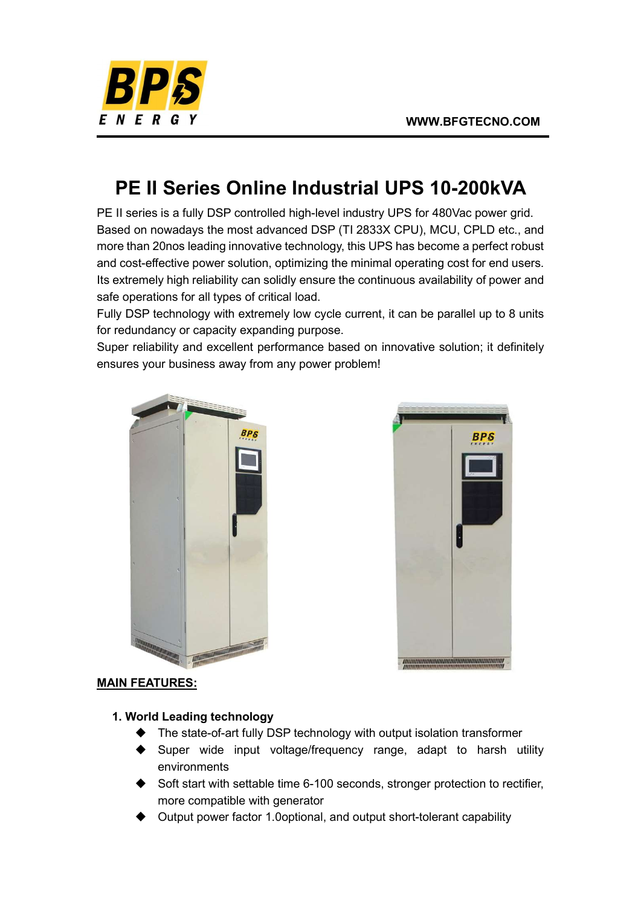

# PE II Series Online Industrial UPS 10-200kVA

PE II series is a fully DSP controlled high-level industry UPS for 480Vac power grid. Based on nowadays the most advanced DSP (TI 2833X CPU), MCU, CPLD etc., and more than 20nos leading innovative technology, this UPS has become a perfect robust and cost-effective power solution, optimizing the minimal operating cost for end users. Its extremely high reliability can solidly ensure the continuous availability of power and safe operations for all types of critical load.

Fully DSP technology with extremely low cycle current, it can be parallel up to 8 units for redundancy or capacity expanding purpose.

Super reliability and excellent performance based on innovative solution; it definitely ensures your business away from any power problem!





## MAIN FEATURES:

#### 1. World Leading technology

- ◆ The state-of-art fully DSP technology with output isolation transformer
- Super wide input voltage/frequency range, adapt to harsh utility environments
- Soft start with settable time 6-100 seconds, stronger protection to rectifier, more compatible with generator
- Output power factor 1.0optional, and output short-tolerant capability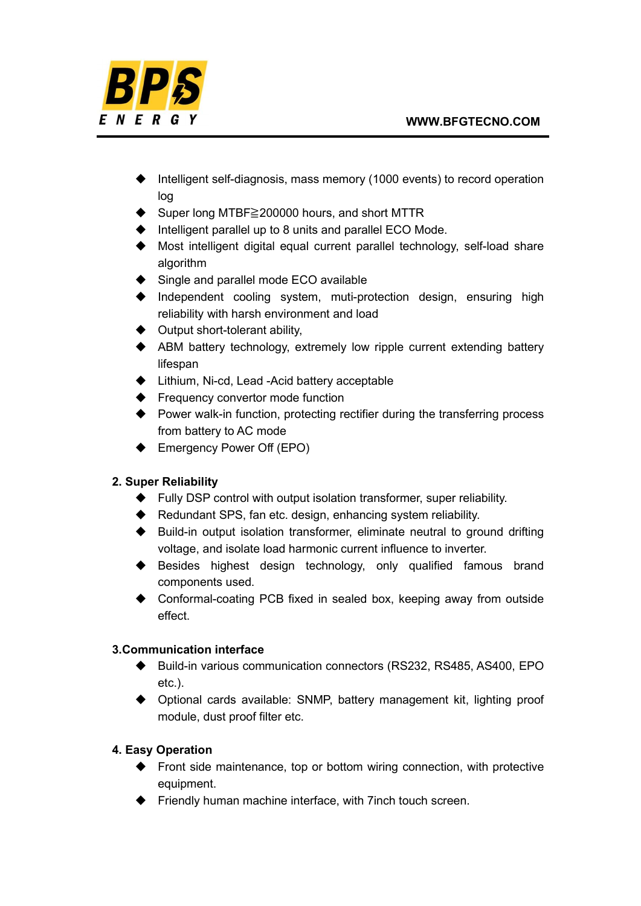

- $\blacklozenge$  Intelligent self-diagnosis, mass memory (1000 events) to record operation log
- Super long MTBF≧200000 hours, and short MTTR
- $\blacklozenge$  Intelligent parallel up to 8 units and parallel ECO Mode.
- Most intelligent digital equal current parallel technology, self-load share algorithm
- ♦ Single and parallel mode ECO available
- Independent cooling system, muti-protection design, ensuring high reliability with harsh environment and load
- $\blacklozenge$  Output short-tolerant ability,
- ABM battery technology, extremely low ripple current extending battery lifespan
- ◆ Lithium, Ni-cd, Lead -Acid battery acceptable
- ◆ Frequency convertor mode function
- ◆ Power walk-in function, protecting rectifier during the transferring process from battery to AC mode
- ◆ Emergency Power Off (EPO)

## 2. Super Reliability

- ◆ Fully DSP control with output isolation transformer, super reliability.
- ◆ Redundant SPS, fan etc. design, enhancing system reliability.
- Build-in output isolation transformer, eliminate neutral to ground drifting voltage, and isolate load harmonic current influence to inverter.
- ◆ Besides highest design technology, only qualified famous brand components used.
- ◆ Conformal-coating PCB fixed in sealed box, keeping away from outside effect.

## 3.Communication interface

- ◆ Build-in various communication connectors (RS232, RS485, AS400, EPO etc.).
- Optional cards available: SNMP, battery management kit, lighting proof module, dust proof filter etc.

## 4. Easy Operation

- $\blacklozenge$  Front side maintenance, top or bottom wiring connection, with protective equipment.
- ◆ Friendly human machine interface, with 7 inch touch screen.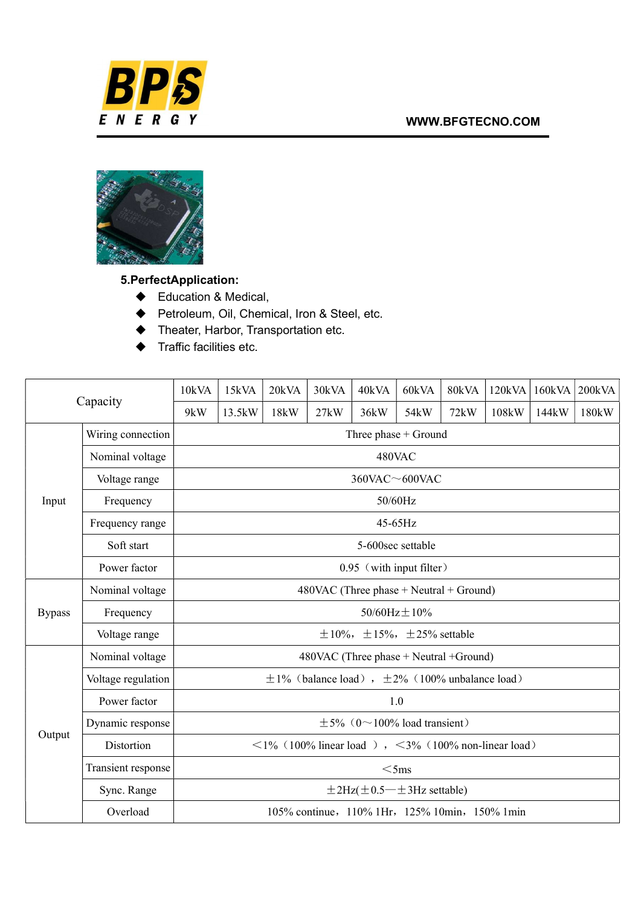#### WWW.BFGTECNO.COM





5.PerfectApplication:

- ◆ Education & Medical,
- ◆ Petroleum, Oil, Chemical, Iron & Steel, etc.
- ◆ Theater, Harbor, Transportation etc.
- $\blacklozenge$  Traffic facilities etc.

| Capacity      |                    | 10kVA                                                                     | 15kVA  | 20kVA | 30kVA | 40kVA | 60kVA             | 80kVA | 120kVA | 160kVA | 200kVA |
|---------------|--------------------|---------------------------------------------------------------------------|--------|-------|-------|-------|-------------------|-------|--------|--------|--------|
|               |                    | 9kW                                                                       | 13.5kW | 18kW  | 27kW  | 36kW  | 54 <sub>k</sub> W | 72kW  | 108kW  | 144kW  | 180kW  |
| Input         | Wiring connection  | Three phase + Ground                                                      |        |       |       |       |                   |       |        |        |        |
|               | Nominal voltage    | 480VAC                                                                    |        |       |       |       |                   |       |        |        |        |
|               | Voltage range      | $360$ VAC $\sim$ 600VAC                                                   |        |       |       |       |                   |       |        |        |        |
|               | Frequency          | 50/60Hz                                                                   |        |       |       |       |                   |       |        |        |        |
|               | Frequency range    | $45-65$ Hz                                                                |        |       |       |       |                   |       |        |        |        |
|               | Soft start         | 5-600sec settable                                                         |        |       |       |       |                   |       |        |        |        |
|               | Power factor       | 0.95 (with input filter)                                                  |        |       |       |       |                   |       |        |        |        |
| <b>Bypass</b> | Nominal voltage    | $480$ VAC (Three phase $+$ Neutral $+$ Ground)                            |        |       |       |       |                   |       |        |        |        |
|               | Frequency          | $50/60 \text{Hz} \pm 10\%$                                                |        |       |       |       |                   |       |        |        |        |
|               | Voltage range      | $\pm 10\%$ , $\pm 15\%$ , $\pm 25\%$ settable                             |        |       |       |       |                   |       |        |        |        |
| Output        | Nominal voltage    | 480VAC (Three phase + Neutral +Ground)                                    |        |       |       |       |                   |       |        |        |        |
|               | Voltage regulation | $\pm 1\%$ (balance load), $\pm 2\%$ (100% unbalance load)                 |        |       |       |       |                   |       |        |        |        |
|               | Power factor       | 1.0                                                                       |        |       |       |       |                   |       |        |        |        |
|               | Dynamic response   | $\pm$ 5% (0~100% load transient)                                          |        |       |       |       |                   |       |        |        |        |
|               | Distortion         | $\langle 1\% (100\% linear load)$ , $\langle 3\% (100\% non-linear load)$ |        |       |       |       |                   |       |        |        |        |
|               | Transient response | $<$ 5ms                                                                   |        |       |       |       |                   |       |        |        |        |
|               | Sync. Range        | $\pm$ 2Hz( $\pm$ 0.5 $\pm$ 3Hz settable)                                  |        |       |       |       |                   |       |        |        |        |
|               | Overload           | 105% continue, 110% 1Hr, 125% 10min, 150% 1min                            |        |       |       |       |                   |       |        |        |        |